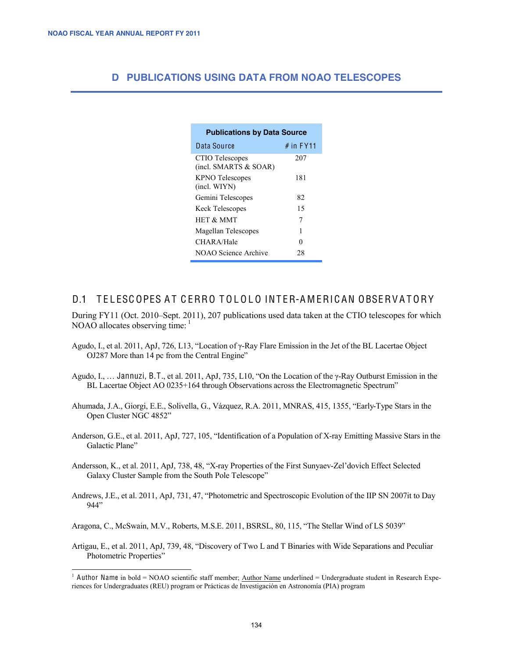## **D PUBLICATIONS USING DATA FROM NOAO TELESCOPES**

| <b>Publications by Data Source</b>       |             |
|------------------------------------------|-------------|
| Data Source                              | $#$ in FY11 |
| CTIO Telescopes<br>(incl. SMARTS & SOAR) | 207         |
| <b>KPNO</b> Telescopes<br>(incl. WIYN)   | 181         |
| Gemini Telescopes                        | 82          |
| <b>Keck Telescopes</b>                   | 15          |
| <b>HET &amp; MMT</b>                     | 7           |
| Magellan Telescopes                      | 1           |
| CHAR A/Hale                              | 0           |
| NOAO Science Archive                     | 28          |

## D.1 TELESCOPES AT CERRO TOLOLO INTER-AMERICAN OBSERVATORY

During FY11 (Oct. 2010–Sept. 2011), 207 publications used data taken at the CTIO telescopes for which NOAO allocates observing time: <sup>1</sup>

- Agudo, I., et al. 2011, ApJ, 726, L13, "Location of γ-Ray Flare Emission in the Jet of the BL Lacertae Object OJ287 More than 14 pc from the Central Engine"
- Agudo, I., … Jannuzi, B.T., et al. 2011, ApJ, 735, L10, "On the Location of the γ-Ray Outburst Emission in the BL Lacertae Object AO 0235+164 through Observations across the Electromagnetic Spectrum"
- Ahumada, J.A., Giorgi, E.E., Solivella, G., Vázquez, R.A. 2011, MNRAS, 415, 1355, "Early-Type Stars in the Open Cluster NGC 4852"
- Anderson, G.E., et al. 2011, ApJ, 727, 105, "Identification of a Population of X-ray Emitting Massive Stars in the Galactic Plane"
- Andersson, K., et al. 2011, ApJ, 738, 48, "X-ray Properties of the First Sunyaev-Zel'dovich Effect Selected Galaxy Cluster Sample from the South Pole Telescope"
- Andrews, J.E., et al. 2011, ApJ, 731, 47, "Photometric and Spectroscopic Evolution of the IIP SN 2007it to Day 944"

Aragona, C., McSwain, M.V., Roberts, M.S.E. 2011, BSRSL, 80, 115, "The Stellar Wind of LS 5039"

Artigau, E., et al. 2011, ApJ, 739, 48, "Discovery of Two L and T Binaries with Wide Separations and Peculiar Photometric Properties"

<sup>&</sup>lt;sup>1</sup> Author Name in bold = NOAO scientific staff member; Author Name underlined = Undergraduate student in Research Experiences for Undergraduates (REU) program or Prácticas de Investigación en Astronomía (PIA) program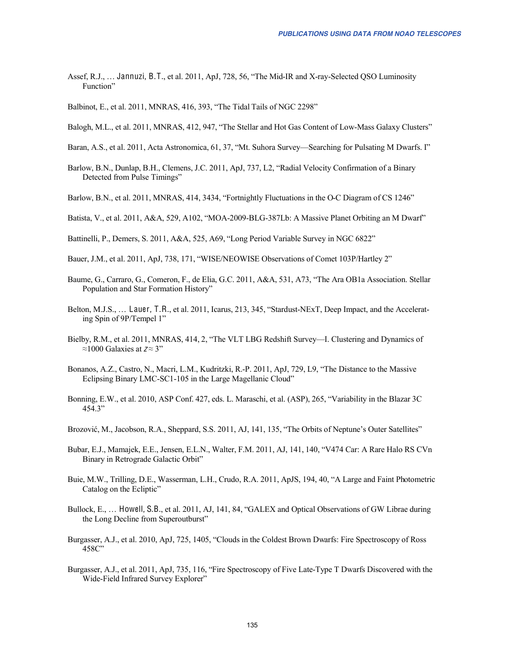- Assef, R.J., … Jannuzi, B.T., et al. 2011, ApJ, 728, 56, "The Mid-IR and X-ray-Selected QSO Luminosity Function"
- Balbinot, E., et al. 2011, MNRAS, 416, 393, "The Tidal Tails of NGC 2298"
- Balogh, M.L., et al. 2011, MNRAS, 412, 947, "The Stellar and Hot Gas Content of Low-Mass Galaxy Clusters"
- Baran, A.S., et al. 2011, Acta Astronomica, 61, 37, "Mt. Suhora Survey—Searching for Pulsating M Dwarfs. I"
- Barlow, B.N., Dunlap, B.H., Clemens, J.C. 2011, ApJ, 737, L2, "Radial Velocity Confirmation of a Binary Detected from Pulse Timings"
- Barlow, B.N., et al. 2011, MNRAS, 414, 3434, "Fortnightly Fluctuations in the O-C Diagram of CS 1246"
- Batista, V., et al. 2011, A&A, 529, A102, "MOA-2009-BLG-387Lb: A Massive Planet Orbiting an M Dwarf"
- Battinelli, P., Demers, S. 2011, A&A, 525, A69, "Long Period Variable Survey in NGC 6822"
- Bauer, J.M., et al. 2011, ApJ, 738, 171, "WISE/NEOWISE Observations of Comet 103P/Hartley 2"
- Baume, G., Carraro, G., Comeron, F., de Elia, G.C. 2011, A&A, 531, A73, "The Ara OB1a Association. Stellar Population and Star Formation History"
- Belton, M.J.S., … Lauer, T.R., et al. 2011, Icarus, 213, 345, "Stardust-NExT, Deep Impact, and the Accelerating Spin of 9P/Tempel 1"
- Bielby, R.M., et al. 2011, MNRAS, 414, 2, "The VLT LBG Redshift Survey—I. Clustering and Dynamics of ≈1000 Galaxies at  $z \approx 3$ "
- Bonanos, A.Z., Castro, N., Macri, L.M., Kudritzki, R.-P. 2011, ApJ, 729, L9, "The Distance to the Massive Eclipsing Binary LMC-SC1-105 in the Large Magellanic Cloud"
- Bonning, E.W., et al. 2010, ASP Conf. 427, eds. L. Maraschi, et al. (ASP), 265, "Variability in the Blazar 3C 454.3"
- Brozović, M., Jacobson, R.A., Sheppard, S.S. 2011, AJ, 141, 135, "The Orbits of Neptune's Outer Satellites"
- Bubar, E.J., Mamajek, E.E., Jensen, E.L.N., Walter, F.M. 2011, AJ, 141, 140, "V474 Car: A Rare Halo RS CVn Binary in Retrograde Galactic Orbit"
- Buie, M.W., Trilling, D.E., Wasserman, L.H., Crudo, R.A. 2011, ApJS, 194, 40, "A Large and Faint Photometric Catalog on the Ecliptic"
- Bullock, E., … Howell, S.B., et al. 2011, AJ, 141, 84, "GALEX and Optical Observations of GW Librae during the Long Decline from Superoutburst"
- Burgasser, A.J., et al. 2010, ApJ, 725, 1405, "Clouds in the Coldest Brown Dwarfs: Fire Spectroscopy of Ross 458C"
- Burgasser, A.J., et al. 2011, ApJ, 735, 116, "Fire Spectroscopy of Five Late-Type T Dwarfs Discovered with the Wide-Field Infrared Survey Explorer"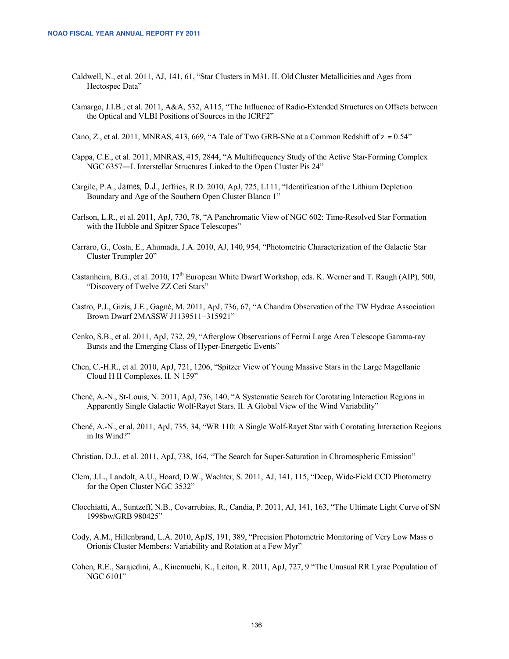- Caldwell, N., et al. 2011, AJ, 141, 61, "Star Clusters in M31. II. Old Cluster Metallicities and Ages from Hectospec Data"
- Camargo, J.I.B., et al. 2011, A&A, 532, A115, "The Influence of Radio-Extended Structures on Offsets between the Optical and VLBI Positions of Sources in the ICRF2"
- Cano, Z., et al. 2011, MNRAS, 413, 669, "A Tale of Two GRB-SNe at a Common Redshift of  $z = 0.54$ "
- Cappa, C.E., et al. 2011, MNRAS, 415, 2844, "A Multifrequency Study of the Active Star-Forming Complex NGC 6357―I. Interstellar Structures Linked to the Open Cluster Pis 24"
- Cargile, P.A., James, D.J., Jeffries, R.D. 2010, ApJ, 725, L111, "Identification of the Lithium Depletion Boundary and Age of the Southern Open Cluster Blanco 1"
- Carlson, L.R., et al. 2011, ApJ, 730, 78, "A Panchromatic View of NGC 602: Time-Resolved Star Formation with the Hubble and Spitzer Space Telescopes"
- Carraro, G., Costa, E., Ahumada, J.A. 2010, AJ, 140, 954, "Photometric Characterization of the Galactic Star Cluster Trumpler 20"
- Castanheira, B.G., et al. 2010,  $17<sup>th</sup>$  European White Dwarf Workshop, eds. K. Werner and T. Raugh (AIP), 500, "Discovery of Twelve ZZ Ceti Stars"
- Castro, P.J., Gizis, J.E., Gagné, M. 2011, ApJ, 736, 67, "A Chandra Observation of the TW Hydrae Association Brown Dwarf 2MASSW J1139511−315921"
- Cenko, S.B., et al. 2011, ApJ, 732, 29, "Afterglow Observations of Fermi Large Area Telescope Gamma-ray Bursts and the Emerging Class of Hyper-Energetic Events"
- Chen, C.-H.R., et al. 2010, ApJ, 721, 1206, "Spitzer View of Young Massive Stars in the Large Magellanic Cloud H II Complexes. II. N 159"
- Chené, A.-N., St-Louis, N. 2011, ApJ, 736, 140, "A Systematic Search for Corotating Interaction Regions in Apparently Single Galactic Wolf-Rayet Stars. II. A Global View of the Wind Variability"
- Chené, A.-N., et al. 2011, ApJ, 735, 34, "WR 110: A Single Wolf-Rayet Star with Corotating Interaction Regions in Its Wind?"
- Christian, D.J., et al. 2011, ApJ, 738, 164, "The Search for Super-Saturation in Chromospheric Emission"
- Clem, J.L., Landolt, A.U., Hoard, D.W., Wachter, S. 2011, AJ, 141, 115, "Deep, Wide-Field CCD Photometry for the Open Cluster NGC 3532"
- Clocchiatti, A., Suntzeff, N.B., Covarrubias, R., Candia, P. 2011, AJ, 141, 163, "The Ultimate Light Curve of SN 1998bw/GRB 980425"
- Cody, A.M., Hillenbrand, L.A. 2010, ApJS, 191, 389, "Precision Photometric Monitoring of Very Low Mass σ Orionis Cluster Members: Variability and Rotation at a Few Myr"
- Cohen, R.E., Sarajedini, A., Kinemuchi, K., Leiton, R. 2011, ApJ, 727, 9 "The Unusual RR Lyrae Population of NGC 6101"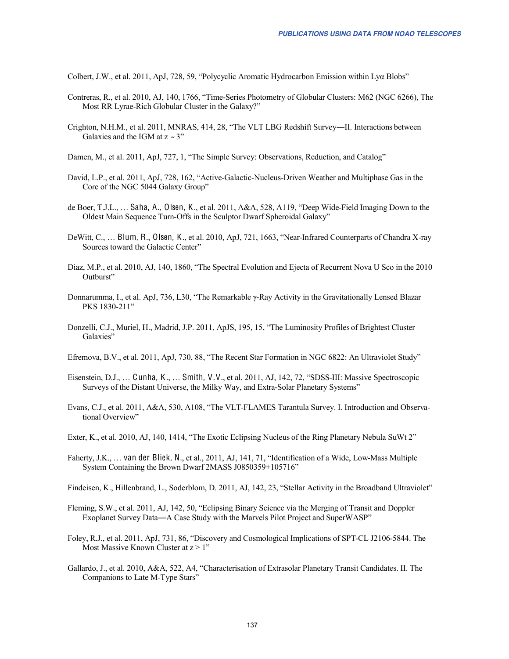Colbert, J.W., et al. 2011, ApJ, 728, 59, "Polycyclic Aromatic Hydrocarbon Emission within Lyα Blobs"

- Contreras, R., et al. 2010, AJ, 140, 1766, "Time-Series Photometry of Globular Clusters: M62 (NGC 6266), The Most RR Lyrae-Rich Globular Cluster in the Galaxy?"
- Crighton, N.H.M., et al. 2011, MNRAS, 414, 28, "The VLT LBG Redshift Survey―II. Interactions between Galaxies and the IGM at  $z \sim 3$ "
- Damen, M., et al. 2011, ApJ, 727, 1, "The Simple Survey: Observations, Reduction, and Catalog"
- David, L.P., et al. 2011, ApJ, 728, 162, "Active-Galactic-Nucleus-Driven Weather and Multiphase Gas in the Core of the NGC 5044 Galaxy Group"
- de Boer, T.J.L., … Saha, A., Olsen, K., et al. 2011, A&A, 528, A119, "Deep Wide-Field Imaging Down to the Oldest Main Sequence Turn-Offs in the Sculptor Dwarf Spheroidal Galaxy"
- DeWitt, C., … Blum, R., Olsen, K., et al. 2010, ApJ, 721, 1663, "Near-Infrared Counterparts of Chandra X-ray Sources toward the Galactic Center"
- Diaz, M.P., et al. 2010, AJ, 140, 1860, "The Spectral Evolution and Ejecta of Recurrent Nova U Sco in the 2010 Outburst"
- Donnarumma, I., et al. ApJ, 736, L30, "The Remarkable γ-Ray Activity in the Gravitationally Lensed Blazar PKS 1830-211"
- Donzelli, C.J., Muriel, H., Madrid, J.P. 2011, ApJS, 195, 15, "The Luminosity Profiles of Brightest Cluster Galaxies"
- Efremova, B.V., et al. 2011, ApJ, 730, 88, "The Recent Star Formation in NGC 6822: An Ultraviolet Study"
- Eisenstein, D.J., … Cunha, K., … Smith, V.V., et al. 2011, AJ, 142, 72, "SDSS-III: Massive Spectroscopic Surveys of the Distant Universe, the Milky Way, and Extra-Solar Planetary Systems"
- Evans, C.J., et al. 2011, A&A, 530, A108, "The VLT-FLAMES Tarantula Survey. I. Introduction and Observational Overview"
- Exter, K., et al. 2010, AJ, 140, 1414, "The Exotic Eclipsing Nucleus of the Ring Planetary Nebula SuWt 2"
- Faherty, J.K., … van der Bliek, N., et al., 2011, AJ, 141, 71, "Identification of a Wide, Low-Mass Multiple System Containing the Brown Dwarf 2MASS J0850359+105716"
- Findeisen, K., Hillenbrand, L., Soderblom, D. 2011, AJ, 142, 23, "Stellar Activity in the Broadband Ultraviolet"
- Fleming, S.W., et al. 2011, AJ, 142, 50, "Eclipsing Binary Science via the Merging of Transit and Doppler Exoplanet Survey Data―A Case Study with the Marvels Pilot Project and SuperWASP"
- Foley, R.J., et al. 2011, ApJ, 731, 86, "Discovery and Cosmological Implications of SPT-CL J2106-5844. The Most Massive Known Cluster at  $z > 1$ "
- Gallardo, J., et al. 2010, A&A, 522, A4, "Characterisation of Extrasolar Planetary Transit Candidates. II. The Companions to Late M-Type Stars"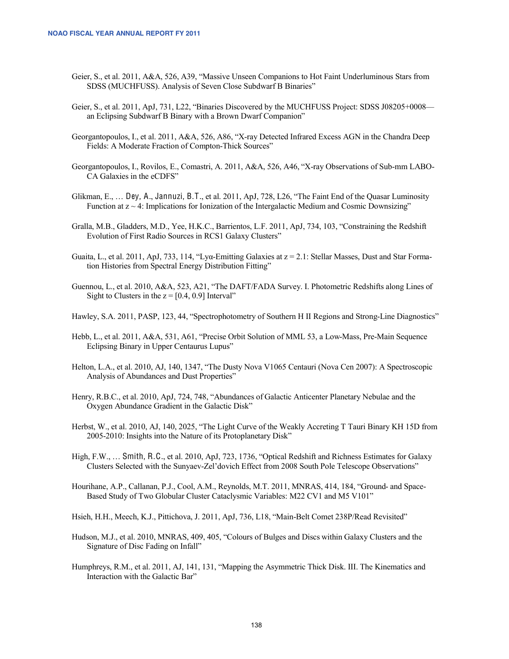- Geier, S., et al. 2011, A&A, 526, A39, "Massive Unseen Companions to Hot Faint Underluminous Stars from SDSS (MUCHFUSS). Analysis of Seven Close Subdwarf B Binaries"
- Geier, S., et al. 2011, ApJ, 731, L22, "Binaries Discovered by the MUCHFUSS Project: SDSS J08205+0008 an Eclipsing Subdwarf B Binary with a Brown Dwarf Companion"
- Georgantopoulos, I., et al. 2011, A&A, 526, A86, "X-ray Detected Infrared Excess AGN in the Chandra Deep Fields: A Moderate Fraction of Compton-Thick Sources"
- Georgantopoulos, I., Rovilos, E., Comastri, A. 2011, A&A, 526, A46, "X-ray Observations of Sub-mm LABO-CA Galaxies in the eCDFS"
- Glikman, E., … Dey, A., Jannuzi, B.T., et al. 2011, ApJ, 728, L26, "The Faint End of the Quasar Luminosity Function at  $z \sim 4$ : Implications for Ionization of the Intergalactic Medium and Cosmic Downsizing"
- Gralla, M.B., Gladders, M.D., Yee, H.K.C., Barrientos, L.F. 2011, ApJ, 734, 103, "Constraining the Redshift Evolution of First Radio Sources in RCS1 Galaxy Clusters"
- Guaita, L., et al. 2011, ApJ, 733, 114, "Ly $\alpha$ -Emitting Galaxies at  $z = 2.1$ : Stellar Masses, Dust and Star Formation Histories from Spectral Energy Distribution Fitting"
- Guennou, L., et al. 2010, A&A, 523, A21, "The DAFT/FADA Survey. I. Photometric Redshifts along Lines of Sight to Clusters in the  $z = [0.4, 0.9]$  Interval"
- Hawley, S.A. 2011, PASP, 123, 44, "Spectrophotometry of Southern H II Regions and Strong-Line Diagnostics"
- Hebb, L., et al. 2011, A&A, 531, A61, "Precise Orbit Solution of MML 53, a Low-Mass, Pre-Main Sequence Eclipsing Binary in Upper Centaurus Lupus"
- Helton, L.A., et al. 2010, AJ, 140, 1347, "The Dusty Nova V1065 Centauri (Nova Cen 2007): A Spectroscopic Analysis of Abundances and Dust Properties"
- Henry, R.B.C., et al. 2010, ApJ, 724, 748, "Abundances of Galactic Anticenter Planetary Nebulae and the Oxygen Abundance Gradient in the Galactic Disk"
- Herbst, W., et al. 2010, AJ, 140, 2025, "The Light Curve of the Weakly Accreting T Tauri Binary KH 15D from 2005-2010: Insights into the Nature of its Protoplanetary Disk"
- High, F.W., … Smith, R.C., et al. 2010, ApJ, 723, 1736, "Optical Redshift and Richness Estimates for Galaxy Clusters Selected with the Sunyaev-Zel'dovich Effect from 2008 South Pole Telescope Observations"
- Hourihane, A.P., Callanan, P.J., Cool, A.M., Reynolds, M.T. 2011, MNRAS, 414, 184, "Ground- and Space-Based Study of Two Globular Cluster Cataclysmic Variables: M22 CV1 and M5 V101"
- Hsieh, H.H., Meech, K.J., Pittichova, J. 2011, ApJ, 736, L18, "Main-Belt Comet 238P/Read Revisited"
- Hudson, M.J., et al. 2010, MNRAS, 409, 405, "Colours of Bulges and Discs within Galaxy Clusters and the Signature of Disc Fading on Infall"
- Humphreys, R.M., et al. 2011, AJ, 141, 131, "Mapping the Asymmetric Thick Disk. III. The Kinematics and Interaction with the Galactic Bar"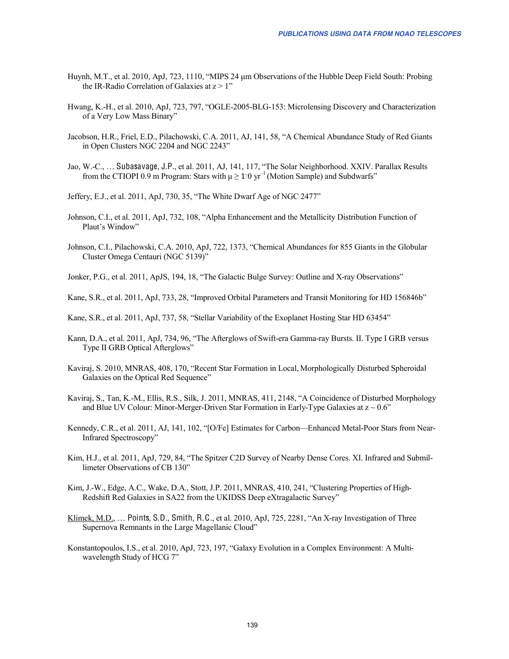- Huynh, M.T., et al. 2010, ApJ, 723, 1110, "MIPS 24 μm Observations of the Hubble Deep Field South: Probing the IR-Radio Correlation of Galaxies at  $z > 1$ "
- Hwang, K.-H., et al. 2010, ApJ, 723, 797, "OGLE-2005-BLG-153: Microlensing Discovery and Characterization of a Very Low Mass Binary"
- Jacobson, H.R., Friel, E.D., Pilachowski, C.A. 2011, AJ, 141, 58, "A Chemical Abundance Study of Red Giants in Open Clusters NGC 2204 and NGC 2243"
- Jao, W.-C., … Subasavage, J.P., et al. 2011, AJ, 141, 117, "The Solar Neighborhood. XXIV. Parallax Results from the CTIOPI 0.9 m Program: Stars with  $\mu \geq 1.0 \text{ yr}^{-1}$  (Motion Sample) and Subdwarfs"
- Jeffery, E.J., et al. 2011, ApJ, 730, 35, "The White Dwarf Age of NGC 2477"
- Johnson, C.I., et al. 2011, ApJ, 732, 108, "Alpha Enhancement and the Metallicity Distribution Function of Plaut's Window"
- Johnson, C.I., Pilachowski, C.A. 2010, ApJ, 722, 1373, "Chemical Abundances for 855 Giants in the Globular Cluster Omega Centauri (NGC 5139)"
- Jonker, P.G., et al. 2011, ApJS, 194, 18, "The Galactic Bulge Survey: Outline and X-ray Observations"
- Kane, S.R., et al. 2011, ApJ, 733, 28, "Improved Orbital Parameters and Transit Monitoring for HD 156846b"
- Kane, S.R., et al. 2011, ApJ, 737, 58, "Stellar Variability of the Exoplanet Hosting Star HD 63454"
- Kann, D.A., et al. 2011, ApJ, 734, 96, "The Afterglows of Swift-era Gamma-ray Bursts. II. Type I GRB versus Type II GRB Optical Afterglows"
- Kaviraj, S. 2010, MNRAS, 408, 170, "Recent Star Formation in Local, Morphologically Disturbed Spheroidal Galaxies on the Optical Red Sequence"
- Kaviraj, S., Tan, K.-M., Ellis, R.S., Silk, J. 2011, MNRAS, 411, 2148, "A Coincidence of Disturbed Morphology and Blue UV Colour: Minor-Merger-Driven Star Formation in Early-Type Galaxies at  $z \sim 0.6$ "
- Kennedy, C.R., et al. 2011, AJ, 141, 102, "[O/Fe] Estimates for Carbon—Enhanced Metal-Poor Stars from Near-Infrared Spectroscopy"
- Kim, H.J., et al. 2011, ApJ, 729, 84, "The Spitzer C2D Survey of Nearby Dense Cores. XI. Infrared and Submillimeter Observations of CB 130"
- Kim, J.-W., Edge, A.C., Wake, D.A., Stott, J.P. 2011, MNRAS, 410, 241, "Clustering Properties of High-Redshift Red Galaxies in SA22 from the UKIDSS Deep eXtragalactic Survey"
- Klimek, M.D., … Points, S.D., Smith, R.C., et al. 2010, ApJ, 725, 2281, "An X-ray Investigation of Three Supernova Remnants in the Large Magellanic Cloud"
- Konstantopoulos, I.S., et al. 2010, ApJ, 723, 197, "Galaxy Evolution in a Complex Environment: A Multiwavelength Study of HCG 7"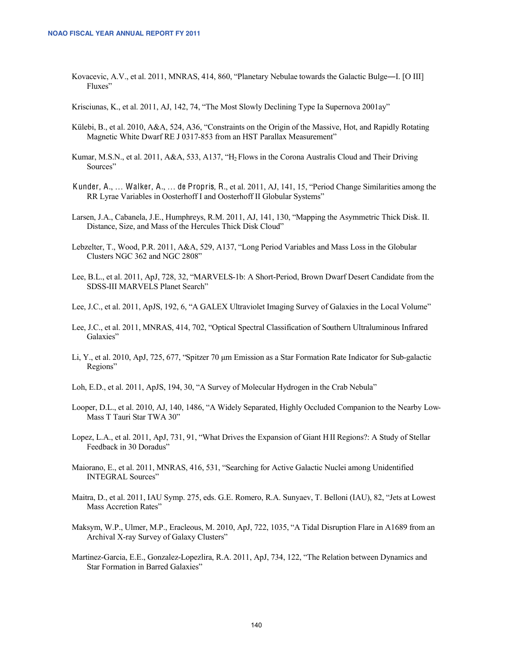Kovacevic, A.V., et al. 2011, MNRAS, 414, 860, "Planetary Nebulae towards the Galactic Bulge―I. [O III] Fluxes"

Krisciunas, K., et al. 2011, AJ, 142, 74, "The Most Slowly Declining Type Ia Supernova 2001ay"

- Külebi, B., et al. 2010, A&A, 524, A36, "Constraints on the Origin of the Massive, Hot, and Rapidly Rotating Magnetic White Dwarf RE J 0317-853 from an HST Parallax Measurement"
- Kumar, M.S.N., et al. 2011, A&A, 533, A137, "H2 Flows in the Corona Australis Cloud and Their Driving Sources"
- Kunder, A., … Walker, A., … de Propris, R., et al. 2011, AJ, 141, 15, "Period Change Similarities among the RR Lyrae Variables in Oosterhoff I and Oosterhoff II Globular Systems"
- Larsen, J.A., Cabanela, J.E., Humphreys, R.M. 2011, AJ, 141, 130, "Mapping the Asymmetric Thick Disk. II. Distance, Size, and Mass of the Hercules Thick Disk Cloud"
- Lebzelter, T., Wood, P.R. 2011, A&A, 529, A137, "Long Period Variables and Mass Loss in the Globular Clusters NGC 362 and NGC 2808"
- Lee, B.L., et al. 2011, ApJ, 728, 32, "MARVELS-1b: A Short-Period, Brown Dwarf Desert Candidate from the SDSS-III MARVELS Planet Search"
- Lee, J.C., et al. 2011, ApJS, 192, 6, "A GALEX Ultraviolet Imaging Survey of Galaxies in the Local Volume"
- Lee, J.C., et al. 2011, MNRAS, 414, 702, "Optical Spectral Classification of Southern Ultraluminous Infrared Galaxies"
- Li, Y., et al. 2010, ApJ, 725, 677, "Spitzer 70 μm Emission as a Star Formation Rate Indicator for Sub-galactic Regions"
- Loh, E.D., et al. 2011, ApJS, 194, 30, "A Survey of Molecular Hydrogen in the Crab Nebula"
- Looper, D.L., et al. 2010, AJ, 140, 1486, "A Widely Separated, Highly Occluded Companion to the Nearby Low-Mass T Tauri Star TWA 30"
- Lopez, L.A., et al. 2011, ApJ, 731, 91, "What Drives the Expansion of Giant HII Regions?: A Study of Stellar Feedback in 30 Doradus"
- Maiorano, E., et al. 2011, MNRAS, 416, 531, "Searching for Active Galactic Nuclei among Unidentified INTEGRAL Sources"
- Maitra, D., et al. 2011, IAU Symp. 275, eds. G.E. Romero, R.A. Sunyaev, T. Belloni (IAU), 82, "Jets at Lowest Mass Accretion Rates"
- Maksym, W.P., Ulmer, M.P., Eracleous, M. 2010, ApJ, 722, 1035, "A Tidal Disruption Flare in A1689 from an Archival X-ray Survey of Galaxy Clusters"
- Martinez-Garcia, E.E., Gonzalez-Lopezlira, R.A. 2011, ApJ, 734, 122, "The Relation between Dynamics and Star Formation in Barred Galaxies"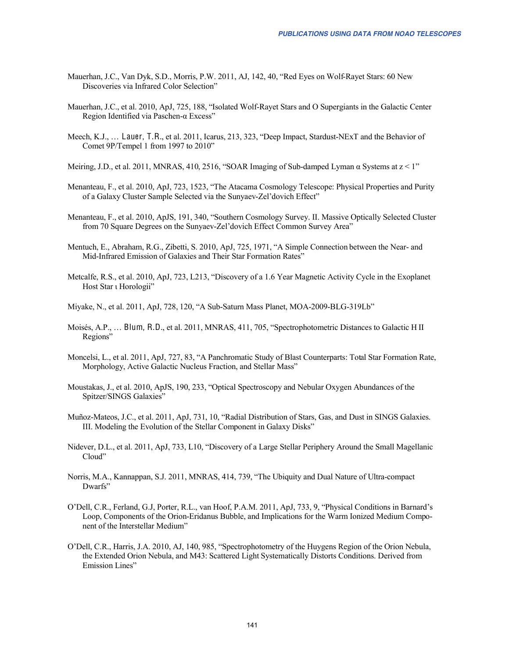- Mauerhan, J.C., Van Dyk, S.D., Morris, P.W. 2011, AJ, 142, 40, "Red Eyes on Wolf-Rayet Stars: 60 New Discoveries via Infrared Color Selection"
- Mauerhan, J.C., et al. 2010, ApJ, 725, 188, "Isolated Wolf-Rayet Stars and O Supergiants in the Galactic Center Region Identified via Paschen-α Excess"
- Meech, K.J., … Lauer, T.R., et al. 2011, Icarus, 213, 323, "Deep Impact, Stardust-NExT and the Behavior of Comet 9P/Tempel 1 from 1997 to 2010"
- Meiring, J.D., et al. 2011, MNRAS, 410, 2516, "SOAR Imaging of Sub-damped Lyman  $\alpha$  Systems at  $z < 1$ "
- Menanteau, F., et al. 2010, ApJ, 723, 1523, "The Atacama Cosmology Telescope: Physical Properties and Purity of a Galaxy Cluster Sample Selected via the Sunyaev-Zel'dovich Effect"
- Menanteau, F., et al. 2010, ApJS, 191, 340, "Southern Cosmology Survey. II. Massive Optically Selected Cluster from 70 Square Degrees on the Sunyaev-Zel'dovich Effect Common Survey Area"
- Mentuch, E., Abraham, R.G., Zibetti, S. 2010, ApJ, 725, 1971, "A Simple Connection between the Near- and Mid-Infrared Emission of Galaxies and Their Star Formation Rates"
- Metcalfe, R.S., et al. 2010, ApJ, 723, L213, "Discovery of a 1.6 Year Magnetic Activity Cycle in the Exoplanet Host Star ι Horologii"
- Miyake, N., et al. 2011, ApJ, 728, 120, "A Sub-Saturn Mass Planet, MOA-2009-BLG-319Lb"
- Moisés, A.P., … Blum, R.D., et al. 2011, MNRAS, 411, 705, "Spectrophotometric Distances to Galactic H II Regions"
- Moncelsi, L., et al. 2011, ApJ, 727, 83, "A Panchromatic Study of Blast Counterparts: Total Star Formation Rate, Morphology, Active Galactic Nucleus Fraction, and Stellar Mass"
- Moustakas, J., et al. 2010, ApJS, 190, 233, "Optical Spectroscopy and Nebular Oxygen Abundances of the Spitzer/SINGS Galaxies"
- Muñoz-Mateos, J.C., et al. 2011, ApJ, 731, 10, "Radial Distribution of Stars, Gas, and Dust in SINGS Galaxies. III. Modeling the Evolution of the Stellar Component in Galaxy Disks"
- Nidever, D.L., et al. 2011, ApJ, 733, L10, "Discovery of a Large Stellar Periphery Around the Small Magellanic Cloud"
- Norris, M.A., Kannappan, S.J. 2011, MNRAS, 414, 739, "The Ubiquity and Dual Nature of Ultra-compact Dwarfs"
- O'Dell, C.R., Ferland, G.J, Porter, R.L., van Hoof, P.A.M. 2011, ApJ, 733, 9, "Physical Conditions in Barnard's Loop, Components of the Orion-Eridanus Bubble, and Implications for the Warm Ionized Medium Component of the Interstellar Medium"
- O'Dell, C.R., Harris, J.A. 2010, AJ, 140, 985, "Spectrophotometry of the Huygens Region of the Orion Nebula, the Extended Orion Nebula, and M43: Scattered Light Systematically Distorts Conditions. Derived from Emission Lines"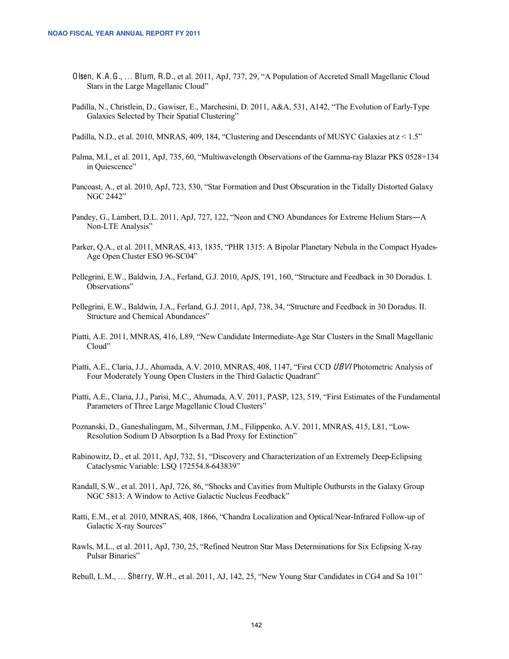- Olsen, K.A.G., … Blum, R.D., et al. 2011, ApJ, 737, 29, "A Population of Accreted Small Magellanic Cloud Stars in the Large Magellanic Cloud"
- Padilla, N., Christlein, D., Gawiser, E., Marchesini, D. 2011, A&A, 531, A142, "The Evolution of Early-Type Galaxies Selected by Their Spatial Clustering"

Padilla, N.D., et al. 2010, MNRAS, 409, 184, "Clustering and Descendants of MUSYC Galaxies at  $z < 1.5$ "

- Palma, M.I., et al. 2011, ApJ, 735, 60, "Multiwavelength Observations of the Gamma-ray Blazar PKS 0528+134 in Quiescence"
- Pancoast, A., et al. 2010, ApJ, 723, 530, "Star Formation and Dust Obscuration in the Tidally Distorted Galaxy NGC 2442"
- Pandey, G., Lambert, D.L. 2011, ApJ, 727, 122, "Neon and CNO Abundances for Extreme Helium Stars―A Non-LTE Analysis"
- Parker, Q.A., et al. 2011, MNRAS, 413, 1835, "PHR 1315: A Bipolar Planetary Nebula in the Compact Hyades-Age Open Cluster ESO 96-SC04"
- Pellegrini, E.W., Baldwin, J.A., Ferland, G.J. 2010, ApJS, 191, 160, "Structure and Feedback in 30 Doradus. I. Observations"
- Pellegrini, E.W., Baldwin, J.A., Ferland, G.J. 2011, ApJ, 738, 34, "Structure and Feedback in 30 Doradus. II. Structure and Chemical Abundances"
- Piatti, A.E. 2011, MNRAS, 416, L89, "New Candidate Intermediate-Age Star Clusters in the Small Magellanic Cloud"
- Piatti, A.E., Claria, J.J., Ahumada, A.V. 2010, MNRAS, 408, 1147, "First CCD UBVI Photometric Analysis of Four Moderately Young Open Clusters in the Third Galactic Quadrant"
- Piatti, A.E., Claria, J.J., Parisi, M.C., Ahumada, A.V. 2011, PASP, 123, 519, "First Estimates of the Fundamental Parameters of Three Large Magellanic Cloud Clusters"
- Poznanski, D., Ganeshalingam, M., Silverman, J.M., Filippenko, A.V. 2011, MNRAS, 415, L81, "Low-Resolution Sodium D Absorption Is a Bad Proxy for Extinction"
- Rabinowitz, D., et al. 2011, ApJ, 732, 51, "Discovery and Characterization of an Extremely Deep-Eclipsing Cataclysmic Variable: LSQ 172554.8-643839"
- Randall, S.W., et al. 2011, ApJ, 726, 86, "Shocks and Cavities from Multiple Outbursts in the Galaxy Group NGC 5813: A Window to Active Galactic Nucleus Feedback"
- Ratti, E.M., et al. 2010, MNRAS, 408, 1866, "Chandra Localization and Optical/Near-Infrared Follow-up of Galactic X-ray Sources"
- Rawls, M.L., et al. 2011, ApJ, 730, 25, "Refined Neutron Star Mass Determinations for Six Eclipsing X-ray Pulsar Binaries"

Rebull, L.M., … Sherry, W.H., et al. 2011, AJ, 142, 25, "New Young Star Candidates in CG4 and Sa 101"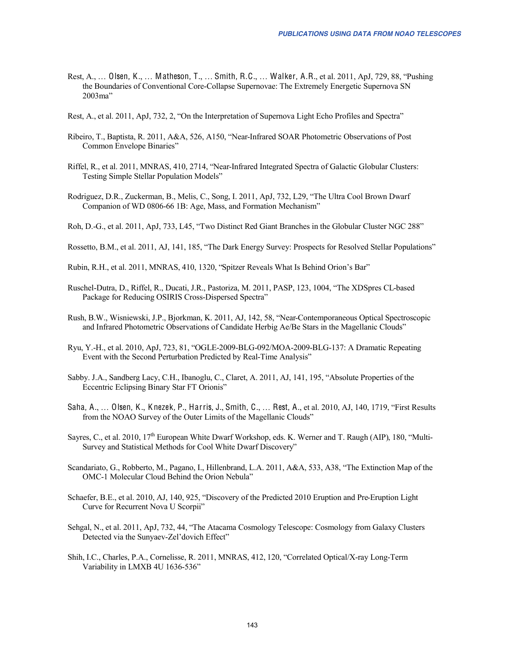- Rest, A., … Olsen, K., … Matheson, T., … Smith, R.C., … Walker, A.R., et al. 2011, ApJ, 729, 88, "Pushing the Boundaries of Conventional Core-Collapse Supernovae: The Extremely Energetic Supernova SN 2003ma"
- Rest, A., et al. 2011, ApJ, 732, 2, "On the Interpretation of Supernova Light Echo Profiles and Spectra"
- Ribeiro, T., Baptista, R. 2011, A&A, 526, A150, "Near-Infrared SOAR Photometric Observations of Post Common Envelope Binaries"
- Riffel, R., et al. 2011, MNRAS, 410, 2714, "Near-Infrared Integrated Spectra of Galactic Globular Clusters: Testing Simple Stellar Population Models"
- Rodriguez, D.R., Zuckerman, B., Melis, C., Song, I. 2011, ApJ, 732, L29, "The Ultra Cool Brown Dwarf Companion of WD 0806-66 1B: Age, Mass, and Formation Mechanism"
- Roh, D.-G., et al. 2011, ApJ, 733, L45, "Two Distinct Red Giant Branches in the Globular Cluster NGC 288"
- Rossetto, B.M., et al. 2011, AJ, 141, 185, "The Dark Energy Survey: Prospects for Resolved Stellar Populations"
- Rubin, R.H., et al. 2011, MNRAS, 410, 1320, "Spitzer Reveals What Is Behind Orion's Bar"
- Ruschel-Dutra, D., Riffel, R., Ducati, J.R., Pastoriza, M. 2011, PASP, 123, 1004, "The XDSpres CL-based Package for Reducing OSIRIS Cross-Dispersed Spectra"
- Rush, B.W., Wisniewski, J.P., Bjorkman, K. 2011, AJ, 142, 58, "Near-Contemporaneous Optical Spectroscopic and Infrared Photometric Observations of Candidate Herbig Ae/Be Stars in the Magellanic Clouds"
- Ryu, Y.-H., et al. 2010, ApJ, 723, 81, "OGLE-2009-BLG-092/MOA-2009-BLG-137: A Dramatic Repeating Event with the Second Perturbation Predicted by Real-Time Analysis"
- Sabby. J.A., Sandberg Lacy, C.H., Ibanoglu, C., Claret, A. 2011, AJ, 141, 195, "Absolute Properties of the Eccentric Eclipsing Binary Star FT Orionis"
- Saha, A., … Olsen, K., K nezek, P., Harris, J., Smith, C., … Rest, A., et al. 2010, AJ, 140, 1719, "First Results from the NOAO Survey of the Outer Limits of the Magellanic Clouds"
- Sayres, C., et al. 2010,  $17<sup>th</sup>$  European White Dwarf Workshop, eds. K. Werner and T. Raugh (AIP), 180, "Multi-Survey and Statistical Methods for Cool White Dwarf Discovery"
- Scandariato, G., Robberto, M., Pagano, I., Hillenbrand, L.A. 2011, A&A, 533, A38, "The Extinction Map of the OMC-1 Molecular Cloud Behind the Orion Nebula"
- Schaefer, B.E., et al. 2010, AJ, 140, 925, "Discovery of the Predicted 2010 Eruption and Pre-Eruption Light Curve for Recurrent Nova U Scorpii"
- Sehgal, N., et al. 2011, ApJ, 732, 44, "The Atacama Cosmology Telescope: Cosmology from Galaxy Clusters Detected via the Sunyaev-Zel'dovich Effect"
- Shih, I.C., Charles, P.A., Cornelisse, R. 2011, MNRAS, 412, 120, "Correlated Optical/X-ray Long-Term Variability in LMXB 4U 1636-536"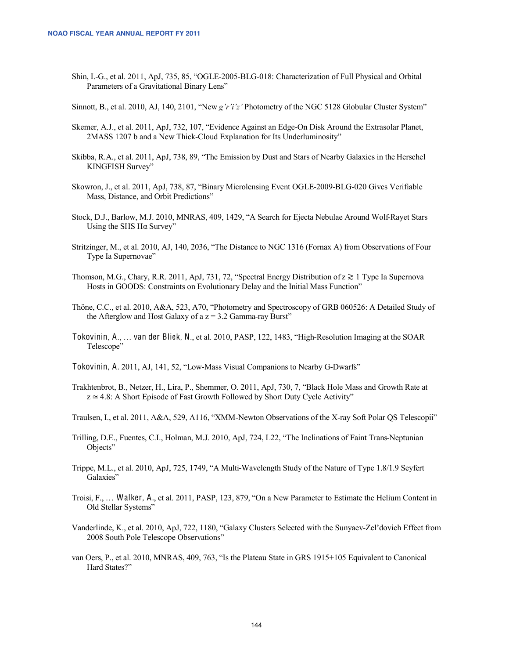Shin, I.-G., et al. 2011, ApJ, 735, 85, "OGLE-2005-BLG-018: Characterization of Full Physical and Orbital Parameters of a Gravitational Binary Lens"

Sinnott, B., et al. 2010, AJ, 140, 2101, "New *g'r'i'z'* Photometry of the NGC 5128 Globular Cluster System"

- Skemer, A.J., et al. 2011, ApJ, 732, 107, "Evidence Against an Edge-On Disk Around the Extrasolar Planet, 2MASS 1207 b and a New Thick-Cloud Explanation for Its Underluminosity"
- Skibba, R.A., et al. 2011, ApJ, 738, 89, "The Emission by Dust and Stars of Nearby Galaxies in the Herschel KINGFISH Survey"
- Skowron, J., et al. 2011, ApJ, 738, 87, "Binary Microlensing Event OGLE-2009-BLG-020 Gives Verifiable Mass, Distance, and Orbit Predictions"
- Stock, D.J., Barlow, M.J. 2010, MNRAS, 409, 1429, "A Search for Ejecta Nebulae Around Wolf-Rayet Stars Using the SHS  $H\alpha$  Survey"
- Stritzinger, M., et al. 2010, AJ, 140, 2036, "The Distance to NGC 1316 (Fornax A) from Observations of Four Type Ia Supernovae"
- Thomson, M.G., Chary, R.R. 2011, ApJ, 731, 72, "Spectral Energy Distribution of z ≳ 1 Type Ia Supernova Hosts in GOODS: Constraints on Evolutionary Delay and the Initial Mass Function"
- Thöne, C.C., et al. 2010, A&A, 523, A70, "Photometry and Spectroscopy of GRB 060526: A Detailed Study of the Afterglow and Host Galaxy of a  $z = 3.2$  Gamma-ray Burst"
- Tokovinin, A., … van der Bliek, N., et al. 2010, PASP, 122, 1483, "High-Resolution Imaging at the SOAR Telescope"
- Tokovinin, A. 2011, AJ, 141, 52, "Low-Mass Visual Companions to Nearby G-Dwarfs"
- Trakhtenbrot, B., Netzer, H., Lira, P., Shemmer, O. 2011, ApJ, 730, 7, "Black Hole Mass and Growth Rate at  $z \approx 4.8$ : A Short Episode of Fast Growth Followed by Short Duty Cycle Activity"
- Traulsen, I., et al. 2011, A&A, 529, A116, "XMM-Newton Observations of the X-ray Soft Polar QS Telescopii"
- Trilling, D.E., Fuentes, C.I., Holman, M.J. 2010, ApJ, 724, L22, "The Inclinations of Faint Trans-Neptunian Objects"
- Trippe, M.L., et al. 2010, ApJ, 725, 1749, "A Multi-Wavelength Study of the Nature of Type 1.8/1.9 Seyfert Galaxies"
- Troisi, F., … Walker, A., et al. 2011, PASP, 123, 879, "On a New Parameter to Estimate the Helium Content in Old Stellar Systems"
- Vanderlinde, K., et al. 2010, ApJ, 722, 1180, "Galaxy Clusters Selected with the Sunyaev-Zel'dovich Effect from 2008 South Pole Telescope Observations"
- van Oers, P., et al. 2010, MNRAS, 409, 763, "Is the Plateau State in GRS 1915+105 Equivalent to Canonical Hard States?"